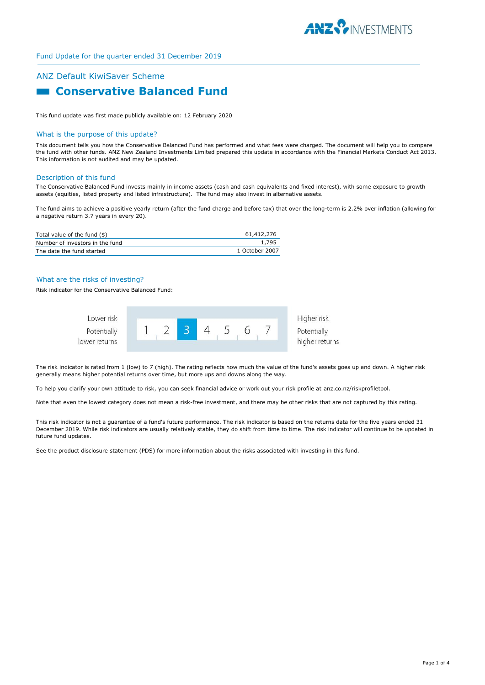

# ANZ Default KiwiSaver Scheme **Example 2 Conservative Balanced Fund**

This fund update was first made publicly available on: 12 February 2020

#### What is the purpose of this update?

This document tells you how the Conservative Balanced Fund has performed and what fees were charged. The document will help you to compare the fund with other funds. ANZ New Zealand Investments Limited prepared this update in accordance with the Financial Markets Conduct Act 2013. This information is not audited and may be updated.

#### Description of this fund

The Conservative Balanced Fund invests mainly in income assets (cash and cash equivalents and fixed interest), with some exposure to growth assets (equities, listed property and listed infrastructure). The fund may also invest in alternative assets.

The fund aims to achieve a positive yearly return (after the fund charge and before tax) that over the long-term is 2.2% over inflation (allowing for a negative return 3.7 years in every 20).

| Total value of the fund (\$)    | 61,412,276     |
|---------------------------------|----------------|
| Number of investors in the fund | 1.795          |
| The date the fund started       | 1 October 2007 |

### What are the risks of investing?

Risk indicator for the Conservative Balanced Fund:



The risk indicator is rated from 1 (low) to 7 (high). The rating reflects how much the value of the fund's assets goes up and down. A higher risk generally means higher potential returns over time, but more ups and downs along the way.

To help you clarify your own attitude to risk, you can seek financial advice or work out your risk profile at anz.co.nz/riskprofiletool.

Note that even the lowest category does not mean a risk-free investment, and there may be other risks that are not captured by this rating.

This risk indicator is not a guarantee of a fund's future performance. The risk indicator is based on the returns data for the five years ended 31 December 2019. While risk indicators are usually relatively stable, they do shift from time to time. The risk indicator will continue to be updated in future fund updates.

See the product disclosure statement (PDS) for more information about the risks associated with investing in this fund.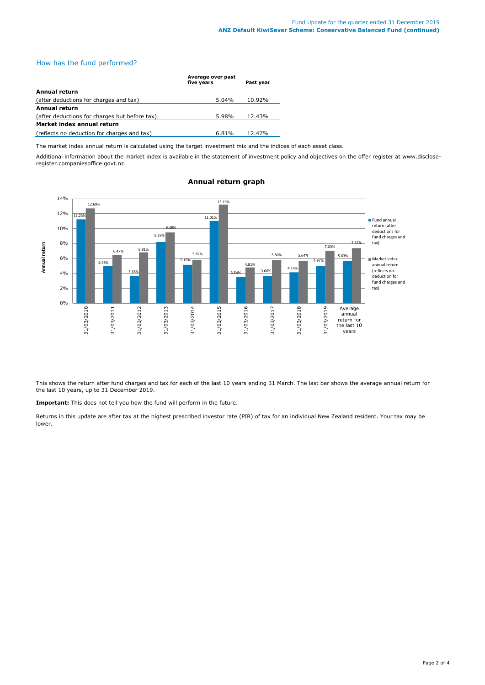## How has the fund performed?

|                                               | Average over past<br>five years | Past year |
|-----------------------------------------------|---------------------------------|-----------|
| Annual return                                 |                                 |           |
| (after deductions for charges and tax)        | 5.04%                           | 10.92%    |
| <b>Annual return</b>                          |                                 |           |
| (after deductions for charges but before tax) | 5.98%                           | 12.43%    |
| Market index annual return                    |                                 |           |
| (reflects no deduction for charges and tax)   | 6.81%                           | 12.47%    |

The market index annual return is calculated using the target investment mix and the indices of each asset class.

Additional information about the market index is available in the statement of investment policy and objectives on the offer register at www.discloseregister.companiesoffice.govt.nz.



# **Annual return graph**

This shows the return after fund charges and tax for each of the last 10 years ending 31 March. The last bar shows the average annual return for the last 10 years, up to 31 December 2019.

**Important:** This does not tell you how the fund will perform in the future.

Returns in this update are after tax at the highest prescribed investor rate (PIR) of tax for an individual New Zealand resident. Your tax may be lower.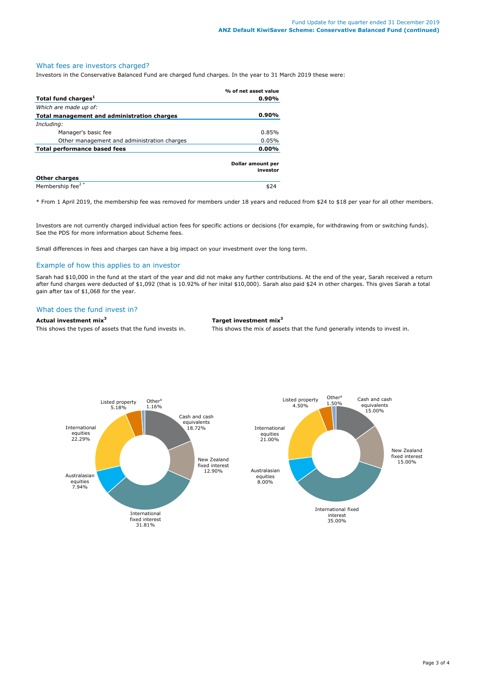## What fees are investors charged?

Investors in the Conservative Balanced Fund are charged fund charges. In the year to 31 March 2019 these were:

|                                             | % of net asset value          |
|---------------------------------------------|-------------------------------|
| Total fund charges <sup>1</sup>             | $0.90\%$                      |
| Which are made up of:                       |                               |
| Total management and administration charges | $0.90\%$                      |
| Including:                                  |                               |
| Manager's basic fee                         | 0.85%                         |
| Other management and administration charges | 0.05%                         |
| Total performance based fees                |                               |
|                                             | Dollar amount per<br>investor |
| <b>Other charges</b>                        |                               |
| Membership fee <sup>2*</sup>                | \$24                          |

\* From 1 April 2019, the membership fee was removed for members under 18 years and reduced from \$24 to \$18 per year for all other members.

Investors are not currently charged individual action fees for specific actions or decisions (for example, for withdrawing from or switching funds). See the PDS for more information about Scheme fees.

Small differences in fees and charges can have a big impact on your investment over the long term.

## Example of how this applies to an investor

Sarah had \$10,000 in the fund at the start of the year and did not make any further contributions. At the end of the year, Sarah received a return after fund charges were deducted of \$1,092 (that is 10.92% of her inital \$10,000). Sarah also paid \$24 in other charges. This gives Sarah a total gain after tax of \$1,068 for the year.

## What does the fund invest in?

## **Actual investment mix<sup>3</sup> Target investment mix<sup>3</sup>**

This shows the types of assets that the fund invests in. This shows the mix of assets that the fund generally intends to invest in.